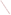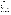# **Technical Factsheet on: CYANIDE**

### [List of Contaminants](http://www.epa.gov/safewater/hfacts.html)

#### As part of the Drinking Water and Health pages, this fact sheet is part of a larger publication: **National Primary Drinking Water Regulations**

#### **Drinking Water Standards**

 MCL: 0.2 mg/l MCLG: 0.2 mg/l HAL(child): 1- to 10-day: 0.2 mg/L; Longer-term: 0.2 mg/L

#### **Health Effects Summary**

 Acute: EPA has found cyanide compounds to potentially cause the following health effects from acute exposures at levels above the MCL: rapid breathing, tremors and other neurological effects.

Short-term exposures in drinking water considered "safe" for a 10-kg (22 lb.) child consuming one liter of water per day: upto a 7-year exposure to 0.2 mg/L.

Chronic: Cyanide compounds have the potential to cause the following chronic health effects from longterm exposures at levels above the MCL: weight loss, thyroid effects, nerve damage.

 cause cancer from lifetime exposures in drinking water. Cancer: There is inadequate evidence to state whether or not cyanide compounds have the potential to

#### **Usage Patterns**

 resins. Other cyanides such as dichlobenil, bromoxynil and bantrol, are used as herbicides. Tabun is The most commonly used form, hydrogen cyanide, is mainly used in manufacturing other cyanides, particularly adiponitrile which is used in nylon, and acrylonitrile - used in acrylic/modacrylic fibers and used as a chemical warfare agent. Potassium cyanide is used for silver plating and for dyes and specialty products.

 Available production data on cyanides: hydrogen cyanide, 1 billion lbs. in 1987; acrylonitrile-2.5 billion lbs. 1993; adiponitrile-1.4 billion lbs. in 1991; bromoxynil-2.6 million lbs in 1990; acetonitrile-35 million lb. in 1989.

#### **Release Patterns**

The major sources of cyanide releases to water are reported to be discharges from metal finishing industries, iron and steel mills, and organic chemical industries. Releases to soil appear to be primarily from disposal of cyanide wastes in landfills and the use of cyanide-containing road salts. Cyanide released to air from car exhaust is expected to exist almost entirely as hydrogen cyanide gas.

Some foods may also naturally contain cyanides, including lima beans and almonds.

 has been found in drinking water at levels on the order of a few parts per billion. Chlorination treatment of some wastewaters can produce chloroacetonitriles as a by-product. Cyanide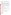From 1987 to 1993, according to the Toxics Release Inventory cyanide compound releases to land and water totalled about 1.5 million lbs., of which about 65 percent was to water. These releases were primarily from steel mills and metal heat treating industries. The largest releases occurred in California and Pennsylvania.

#### **Environmental Fate**

 bioconcentrate in aquatic organisms. Nitriles have the potential to leach to ground water as they do not Nitriles are generally highly volatile and biodegradable when released to water, and are not expected to adsorb to soil. They tend to be resistant to hydrolysis in soil or water. Cyanide-containing herbicides have more moderate potential for leaching, but again are readily biodegraded so they are not expected to bioconcentrate.

 high pH, high carbonate and low clay content. However, at pH less than 9.2, most free cyanide is Soluble cyanide compounds such as hydrogen and potassium cyanide have low adsorption to soils with expected to convert to hydrogen cyanide which is highly volatile. Soluble cyanides are not expected to bioconcentrate.

 generally have the potential to bioconcentrate. Insoluble forms do not biodegrade to hydrogen cyanide. Insoluble cyanide compounds such as the copper and silver salts may adsorb to soils and sediments, and

Tabun is rapidly hydrolyzed in soil and water, and so is not expected to leach or bioconcentrate.

#### **Chemical/Physical Properties**

CAS Number: Hydrogen cyanide- 74-90-8

 Color/ Form/Odor: Cyanide is a carbon-nitrogen chemical unit which may be combined with a variety of organic and inorganic components. The most common is hydrogen cyanide, a colorless, flammable liquid or gas.

 Soil sorption coefficient: Kocs of 1 to 70 for most soluble forms, with the nitriles having highest mobility in soils. Insoluble forms are expected to adsorb to sediments.

Cyanide-containing compounds:

cvanohydrins, tabun Organics: Nitriles like Acetonitrile, butanenitrile, etc; bromoxynil, cyanocobalamin, cyanogens,

Inorganics: combined with hydrogen, calcium, barium, sodium, zinc, nickel, mercury, potassium, copper, silver

bioconcentrate in aquatic organisms. Insoluble forms may bioconcentrate.<br>Solubilities: Bioconcentration Factor: BCFs of <1 to 50 for most soluble forms, which are not expected to

nitriles low to moderate cyanohydrin highly soluble cyanogens moderate to high tabun soluble other organics slightly soluble Hydrogen soluble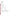sodium 48% at 10 deg C barium 80% at 14 deg C potassium 50% in cold water mercuric 10% at 14 deg C calcium soluble copper insoluble nickel insoluble silver insoluble zinc insoluble

#### **Other Regulatory Information**

Monitoring:

-- For Ground Water Sources:

Initial Frequency-1 sample once every 3 years

Repeat Frequency-If no detections for 3 rounds, once every 9 years

-- For Surface Water Sources:

Initial Frequency-1 sample annually

Repeat Frequency-If no detections for 3 rounds, once every 9 years

-- Triggers - If detect at > 0.2 mg/L, sample quarterly.

#### **Analysis**

| Analysis                |                              |
|-------------------------|------------------------------|
| <b>Reference Source</b> | <b>Method Number</b>         |
| EPA 600/4-79-020        | 335.1*: 335.2: 335.3         |
| NTIS PB 91-231498       | D2036-89A; D2036-89B*        |
| Standard Methods        | 4500-CN-D, E&, F; 4500-CN-G* |

## *\*- measure "free" or amenable cyanide; other methods screen for "total" cyanide.*

**Treatment/Best Available Technologies:** Ion Exchange, Reverse Osmosis, Chlorine

 **Toxic Release Inventory - Releases to Water and Land, 1987 to 1993 (in pounds)**:

|                       | Water   |         | Land    |
|-----------------------|---------|---------|---------|
| <b>TOTALS</b>         | 939,611 |         | 641,082 |
| <b>Top Ten States</b> |         |         |         |
| CA                    | 0       | 430,886 |         |